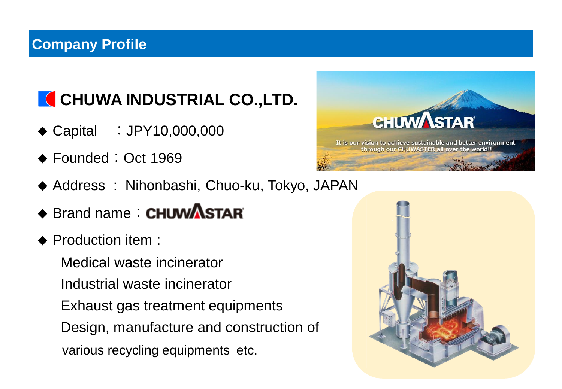### **Company Profile**

# **CHUWA INDUSTRIAL CO., LTD.**

- ◆ Capital : JPY10,000,000
- ◆ Founded: Oct 1969
- ◆ Address : Nihonbashi, Chuo-ku, Tokyo, JAPAN
- ◆ Brand name: CHUWASTAR
- ◆ Production item :

Medical waste incinerator Industrial waste incinerator Exhaust gas treatment equipments Design, manufacture and construction of various recycling equipments etc.



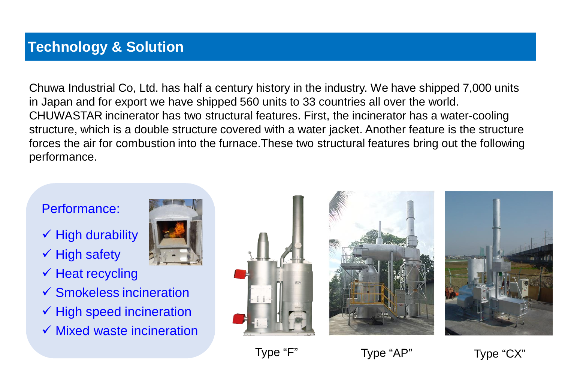#### **Technology & Solution**

Chuwa Industrial Co, Ltd. has half a century history in the industry. We have shipped 7,000 units in Japan and for export we have shipped 560 units to 33 countries all over the world. CHUWASTAR incinerator has two structural features. First, the incinerator has a water-cooling structure, which is a double structure covered with a water jacket. Another feature is the structure forces the air for combustion into the furnace.These two structural features bring out the following performance.

#### Performance:

- $\checkmark$  High durability
- $\checkmark$  High safety
- $\checkmark$  Heat recycling
- $\checkmark$  Smokeless incineration
- $\checkmark$  High speed incineration
- $\checkmark$  Mixed waste incineration









Type "F" Type "AP" Type "CX"